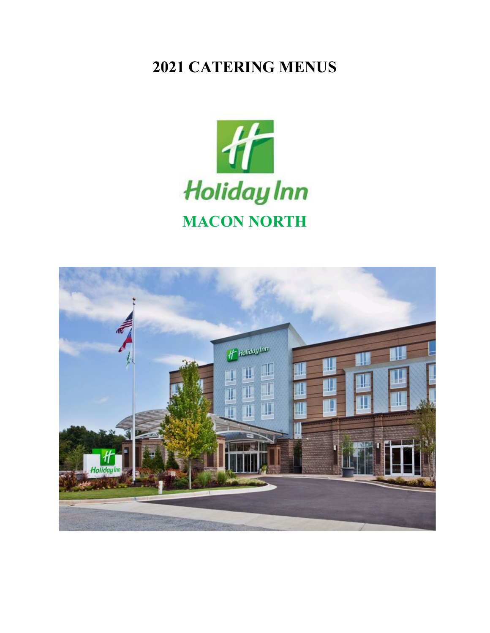# **2021 CATERING MENUS**



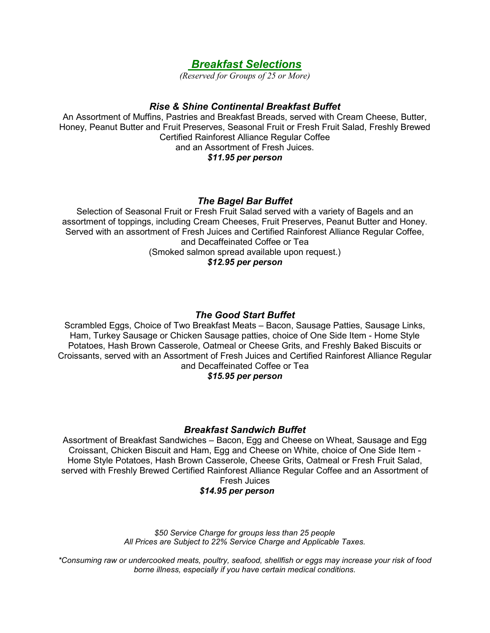# *Breakfast Selections*

*(Reserved for Groups of 25 or More)*

# *Rise & Shine Continental Breakfast Buffet*

An Assortment of Muffins, Pastries and Breakfast Breads, served with Cream Cheese, Butter, Honey, Peanut Butter and Fruit Preserves, Seasonal Fruit or Fresh Fruit Salad, Freshly Brewed Certified Rainforest Alliance Regular Coffee and an Assortment of Fresh Juices. *\$11.95 per person*

# *The Bagel Bar Buffet*

Selection of Seasonal Fruit or Fresh Fruit Salad served with a variety of Bagels and an assortment of toppings, including Cream Cheeses, Fruit Preserves, Peanut Butter and Honey. Served with an assortment of Fresh Juices and Certified Rainforest Alliance Regular Coffee, and Decaffeinated Coffee or Tea (Smoked salmon spread available upon request.) *\$12.95 per person*

# *The Good Start Buffet*

Scrambled Eggs, Choice of Two Breakfast Meats – Bacon, Sausage Patties, Sausage Links, Ham, Turkey Sausage or Chicken Sausage patties, choice of One Side Item - Home Style Potatoes, Hash Brown Casserole, Oatmeal or Cheese Grits, and Freshly Baked Biscuits or Croissants, served with an Assortment of Fresh Juices and Certified Rainforest Alliance Regular and Decaffeinated Coffee or Tea

# *\$15.95 per person*

# *Breakfast Sandwich Buffet*

Assortment of Breakfast Sandwiches – Bacon, Egg and Cheese on Wheat, Sausage and Egg Croissant, Chicken Biscuit and Ham, Egg and Cheese on White, choice of One Side Item - Home Style Potatoes, Hash Brown Casserole, Cheese Grits, Oatmeal or Fresh Fruit Salad, served with Freshly Brewed Certified Rainforest Alliance Regular Coffee and an Assortment of Fresh Juices

# *\$14.95 per person*

*\$50 Service Charge for groups less than 25 people All Prices are Subject to 22% Service Charge and Applicable Taxes.*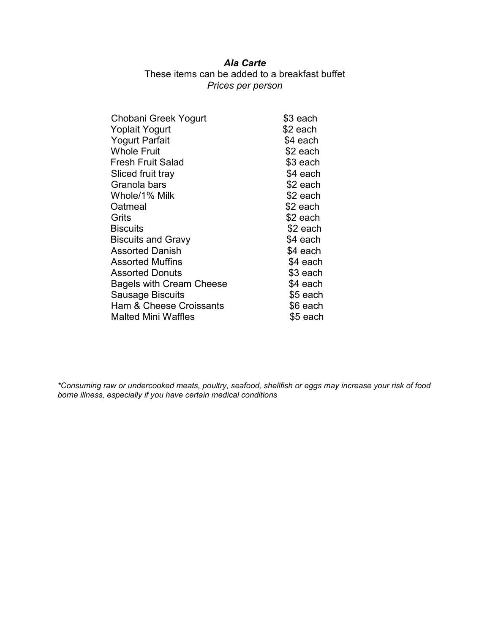# *Ala Carte*

# These items can be added to a breakfast buffet *Prices per person*

| Chobani Greek Yogurt            | \$3 each  |
|---------------------------------|-----------|
| <b>Yoplait Yogurt</b>           | \$2 each  |
| <b>Yogurt Parfait</b>           | \$4 each  |
| <b>Whole Fruit</b>              | \$2 each  |
| <b>Fresh Fruit Salad</b>        | \$3 each  |
| Sliced fruit tray               | \$4 each  |
| Granola bars                    | \$2 each  |
| Whole/1% Milk                   | \$2 each  |
| Oatmeal                         | \$2 each  |
| Grits                           | \$2 each  |
| <b>Biscuits</b>                 | \$2 each  |
| <b>Biscuits and Gravy</b>       | \$4 each  |
| <b>Assorted Danish</b>          | \$4 each  |
| <b>Assorted Muffins</b>         | \$4 each  |
| <b>Assorted Donuts</b>          | \$3 each  |
| <b>Bagels with Cream Cheese</b> | \$4 each  |
| <b>Sausage Biscuits</b>         | $$5$ each |
| Ham & Cheese Croissants         | \$6 each  |
| <b>Malted Mini Waffles</b>      | \$5 each  |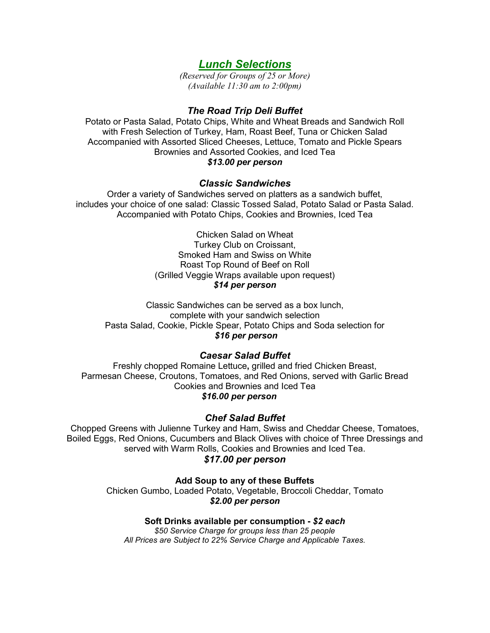# *Lunch Selections*

*(Reserved for Groups of 25 or More) (Available 11:30 am to 2:00pm)*

# *The Road Trip Deli Buffet*

Potato or Pasta Salad, Potato Chips, White and Wheat Breads and Sandwich Roll with Fresh Selection of Turkey, Ham, Roast Beef, Tuna or Chicken Salad Accompanied with Assorted Sliced Cheeses, Lettuce, Tomato and Pickle Spears Brownies and Assorted Cookies, and Iced Tea *\$13.00 per person*

#### *Classic Sandwiches*

Order a variety of Sandwiches served on platters as a sandwich buffet, includes your choice of one salad: Classic Tossed Salad, Potato Salad or Pasta Salad. Accompanied with Potato Chips, Cookies and Brownies, Iced Tea

> Chicken Salad on Wheat Turkey Club on Croissant, Smoked Ham and Swiss on White Roast Top Round of Beef on Roll (Grilled Veggie Wraps available upon request) *\$14 per person*

Classic Sandwiches can be served as a box lunch, complete with your sandwich selection Pasta Salad, Cookie, Pickle Spear, Potato Chips and Soda selection for *\$16 per person*

# *Caesar Salad Buffet*

Freshly chopped Romaine Lettuce**,** grilled and fried Chicken Breast, Parmesan Cheese, Croutons, Tomatoes, and Red Onions, served with Garlic Bread Cookies and Brownies and Iced Tea *\$16.00 per person*

# *Chef Salad Buffet*

Chopped Greens with Julienne Turkey and Ham, Swiss and Cheddar Cheese, Tomatoes, Boiled Eggs, Red Onions, Cucumbers and Black Olives with choice of Three Dressings and served with Warm Rolls, Cookies and Brownies and Iced Tea.

### *\$17.00 per person*

**Add Soup to any of these Buffets**

Chicken Gumbo, Loaded Potato, Vegetable, Broccoli Cheddar, Tomato *\$2.00 per person*

#### **Soft Drinks available per consumption -** *\$2 each*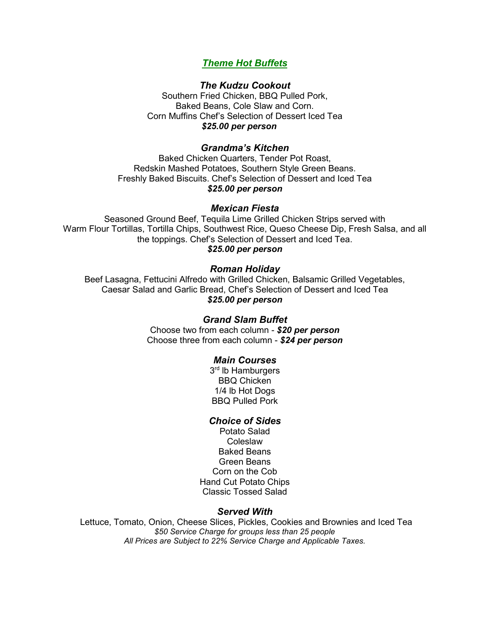# *Theme Hot Buffets*

### *The Kudzu Cookout*

Southern Fried Chicken, BBQ Pulled Pork, Baked Beans, Cole Slaw and Corn. Corn Muffins Chef's Selection of Dessert Iced Tea *\$25.00 per person*

### *Grandma's Kitchen*

Baked Chicken Quarters, Tender Pot Roast, Redskin Mashed Potatoes, Southern Style Green Beans. Freshly Baked Biscuits. Chef's Selection of Dessert and Iced Tea *\$25.00 per person*

#### *Mexican Fiesta*

Seasoned Ground Beef, Tequila Lime Grilled Chicken Strips served with Warm Flour Tortillas, Tortilla Chips, Southwest Rice, Queso Cheese Dip, Fresh Salsa, and all the toppings. Chef's Selection of Dessert and Iced Tea. *\$25.00 per person*

# *Roman Holiday*

Beef Lasagna, Fettucini Alfredo with Grilled Chicken, Balsamic Grilled Vegetables, Caesar Salad and Garlic Bread, Chef's Selection of Dessert and Iced Tea *\$25.00 per person*

#### *Grand Slam Buffet*

Choose two from each column - *\$20 per person* Choose three from each column - *\$24 per person*

#### *Main Courses*

3<sup>rd</sup> lb Hamburgers BBQ Chicken 1/4 lb Hot Dogs BBQ Pulled Pork

#### *Choice of Sides*

Potato Salad Coleslaw Baked Beans Green Beans Corn on the Cob Hand Cut Potato Chips Classic Tossed Salad

#### *Served With*

Lettuce, Tomato, Onion, Cheese Slices, Pickles, Cookies and Brownies and Iced Tea *\$50 Service Charge for groups less than 25 people All Prices are Subject to 22% Service Charge and Applicable Taxes.*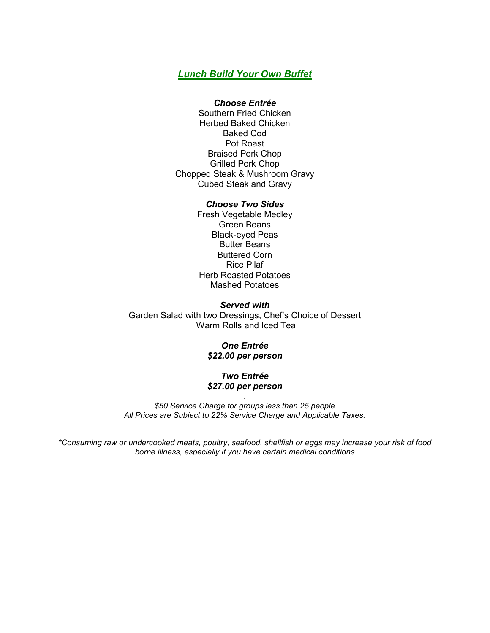# *Lunch Build Your Own Buffet*

#### *Choose Entrée*

Southern Fried Chicken Herbed Baked Chicken Baked Cod Pot Roast Braised Pork Chop Grilled Pork Chop Chopped Steak & Mushroom Gravy Cubed Steak and Gravy

#### *Choose Two Sides*

Fresh Vegetable Medley Green Beans Black-eyed Peas Butter Beans Buttered Corn Rice Pilaf Herb Roasted Potatoes Mashed Potatoes

*Served with* Garden Salad with two Dressings, Chef's Choice of Dessert Warm Rolls and Iced Tea

#### *One Entrée \$22.00 per person*

#### *Two Entrée \$27.00 per person*

. *\$50 Service Charge for groups less than 25 people All Prices are Subject to 22% Service Charge and Applicable Taxes.*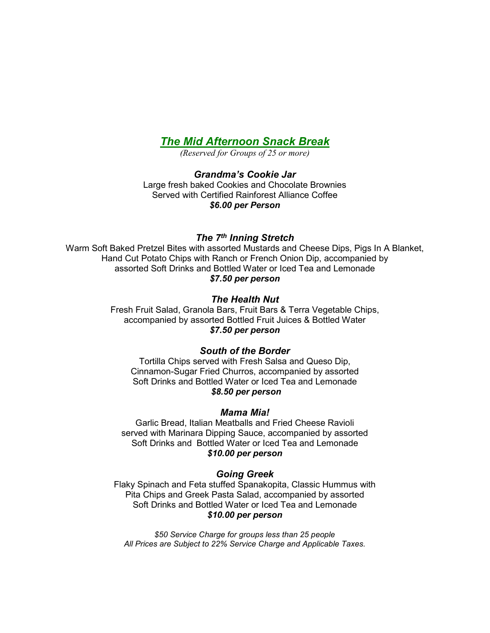# *The Mid Afternoon Snack Break*

*(Reserved for Groups of 25 or more)*

*Grandma's Cookie Jar* Large fresh baked Cookies and Chocolate Brownies Served with Certified Rainforest Alliance Coffee *\$6.00 per Person* 

# *The 7th Inning Stretch*

Warm Soft Baked Pretzel Bites with assorted Mustards and Cheese Dips, Pigs In A Blanket, Hand Cut Potato Chips with Ranch or French Onion Dip, accompanied by assorted Soft Drinks and Bottled Water or Iced Tea and Lemonade *\$7.50 per person*

### *The Health Nut*

Fresh Fruit Salad, Granola Bars, Fruit Bars & Terra Vegetable Chips, accompanied by assorted Bottled Fruit Juices & Bottled Water *\$7.50 per person*

#### *South of the Border*

Tortilla Chips served with Fresh Salsa and Queso Dip, Cinnamon-Sugar Fried Churros, accompanied by assorted Soft Drinks and Bottled Water or Iced Tea and Lemonade *\$8.50 per person*

#### *Mama Mia!*

Garlic Bread, Italian Meatballs and Fried Cheese Ravioli served with Marinara Dipping Sauce, accompanied by assorted Soft Drinks and Bottled Water or Iced Tea and Lemonade *\$10.00 per person*

#### *Going Greek*

Flaky Spinach and Feta stuffed Spanakopita, Classic Hummus with Pita Chips and Greek Pasta Salad, accompanied by assorted Soft Drinks and Bottled Water or Iced Tea and Lemonade *\$10.00 per person*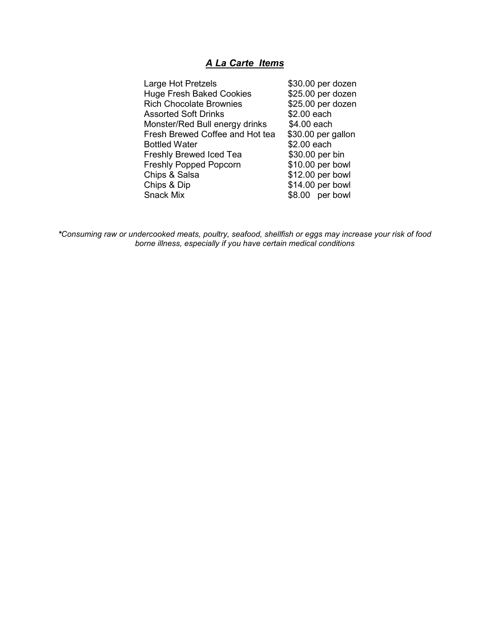# *A La Carte Items*

| Large Hot Pretzels              | \$30.00 per dozen  |
|---------------------------------|--------------------|
| <b>Huge Fresh Baked Cookies</b> | \$25.00 per dozen  |
| <b>Rich Chocolate Brownies</b>  | \$25.00 per dozen  |
| <b>Assorted Soft Drinks</b>     | \$2.00 each        |
| Monster/Red Bull energy drinks  | \$4.00 each        |
| Fresh Brewed Coffee and Hot tea | \$30.00 per gallon |
| <b>Bottled Water</b>            | \$2.00 each        |
| <b>Freshly Brewed Iced Tea</b>  | \$30.00 per bin    |
| <b>Freshly Popped Popcorn</b>   | \$10.00 per bowl   |
| Chips & Salsa                   | \$12.00 per bowl   |
| Chips & Dip                     | \$14.00 per bowl   |
| Snack Mix                       | \$8.00 per bowl    |
|                                 |                    |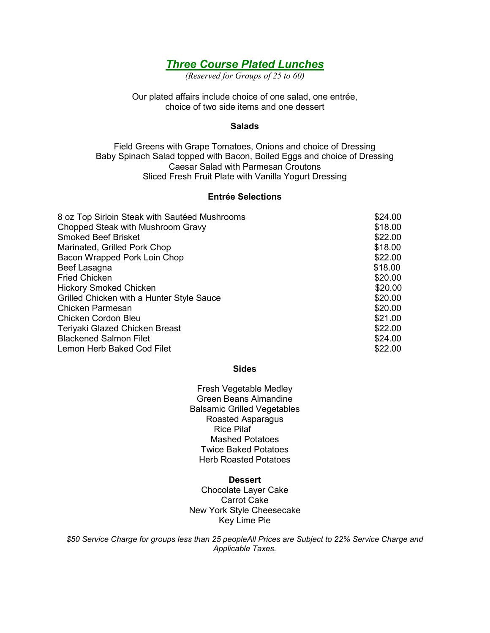# *Three Course Plated Lunches*

*(Reserved for Groups of 25 to 60)*

Our plated affairs include choice of one salad, one entrée, choice of two side items and one dessert

#### **Salads**

Field Greens with Grape Tomatoes, Onions and choice of Dressing Baby Spinach Salad topped with Bacon, Boiled Eggs and choice of Dressing Caesar Salad with Parmesan Croutons Sliced Fresh Fruit Plate with Vanilla Yogurt Dressing

### **Entrée Selections**

| 8 oz Top Sirloin Steak with Sautéed Mushrooms | \$24.00 |
|-----------------------------------------------|---------|
| Chopped Steak with Mushroom Gravy             | \$18.00 |
| <b>Smoked Beef Brisket</b>                    | \$22.00 |
| Marinated, Grilled Pork Chop                  | \$18.00 |
| Bacon Wrapped Pork Loin Chop                  | \$22.00 |
| Beef Lasagna                                  | \$18.00 |
| <b>Fried Chicken</b>                          | \$20.00 |
| <b>Hickory Smoked Chicken</b>                 | \$20.00 |
| Grilled Chicken with a Hunter Style Sauce     | \$20.00 |
| <b>Chicken Parmesan</b>                       | \$20.00 |
| Chicken Cordon Bleu                           | \$21.00 |
| Teriyaki Glazed Chicken Breast                | \$22.00 |
| <b>Blackened Salmon Filet</b>                 | \$24.00 |
| Lemon Herb Baked Cod Filet                    | \$22.00 |

#### **Sides**

Fresh Vegetable Medley Green Beans Almandine Balsamic Grilled Vegetables Roasted Asparagus Rice Pilaf Mashed Potatoes Twice Baked Potatoes Herb Roasted Potatoes

#### **Dessert**

Chocolate Layer Cake Carrot Cake New York Style Cheesecake Key Lime Pie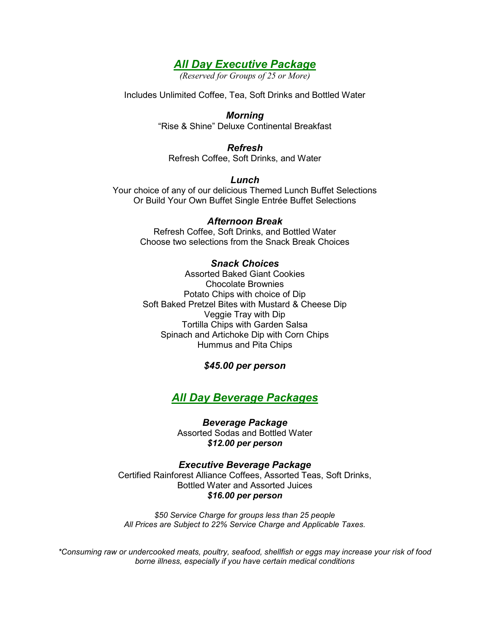# *All Day Executive Package*

*(Reserved for Groups of 25 or More)*

Includes Unlimited Coffee, Tea, Soft Drinks and Bottled Water

# *Morning* "Rise & Shine" Deluxe Continental Breakfast

### *Refresh* Refresh Coffee, Soft Drinks, and Water

*Lunch* Your choice of any of our delicious Themed Lunch Buffet Selections Or Build Your Own Buffet Single Entrée Buffet Selections

# *Afternoon Break*

Refresh Coffee, Soft Drinks, and Bottled Water Choose two selections from the Snack Break Choices

# *Snack Choices*

Assorted Baked Giant Cookies Chocolate Brownies Potato Chips with choice of Dip Soft Baked Pretzel Bites with Mustard & Cheese Dip Veggie Tray with Dip Tortilla Chips with Garden Salsa Spinach and Artichoke Dip with Corn Chips Hummus and Pita Chips

# *\$45.00 per person*

# *All Day Beverage Packages*

# *Beverage Package*

Assorted Sodas and Bottled Water *\$12.00 per person*

*Executive Beverage Package* Certified Rainforest Alliance Coffees, Assorted Teas, Soft Drinks, Bottled Water and Assorted Juices *\$16.00 per person*

*\$50 Service Charge for groups less than 25 people All Prices are Subject to 22% Service Charge and Applicable Taxes.*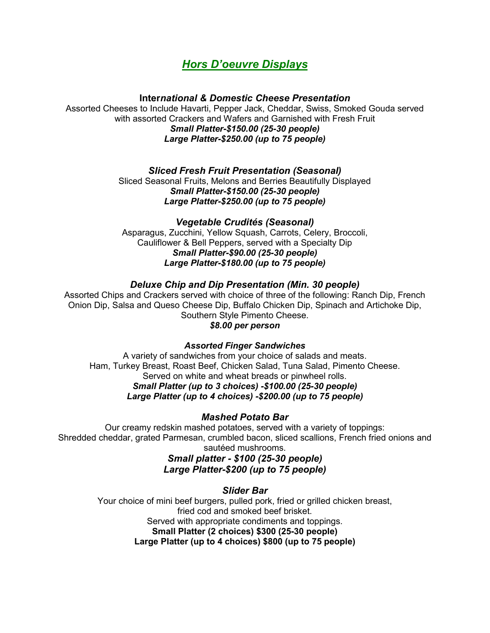# *Hors D'oeuvre Displays*

**Inter***national & Domestic Cheese Presentation*

Assorted Cheeses to Include Havarti, Pepper Jack, Cheddar, Swiss, Smoked Gouda served with assorted Crackers and Wafers and Garnished with Fresh Fruit *Small Platter-\$150.00 (25-30 people) Large Platter-\$250.00 (up to 75 people)*

# *Sliced Fresh Fruit Presentation (Seasonal)*

Sliced Seasonal Fruits, Melons and Berries Beautifully Displayed *Small Platter-\$150.00 (25-30 people) Large Platter-\$250.00 (up to 75 people)*

# *Vegetable Crudités (Seasonal)*

Asparagus, Zucchini, Yellow Squash, Carrots, Celery, Broccoli, Cauliflower & Bell Peppers, served with a Specialty Dip *Small Platter-\$90.00 (25-30 people) Large Platter-\$180.00 (up to 75 people)*

# *Deluxe Chip and Dip Presentation (Min. 30 people)*

Assorted Chips and Crackers served with choice of three of the following: Ranch Dip, French Onion Dip, Salsa and Queso Cheese Dip, Buffalo Chicken Dip, Spinach and Artichoke Dip, Southern Style Pimento Cheese. *\$8.00 per person*

# *Assorted Finger Sandwiches*

A variety of sandwiches from your choice of salads and meats. Ham, Turkey Breast, Roast Beef, Chicken Salad, Tuna Salad, Pimento Cheese. Served on white and wheat breads or pinwheel rolls. *Small Platter (up to 3 choices) -\$100.00 (25-30 people) Large Platter (up to 4 choices) -\$200.00 (up to 75 people)*

# *Mashed Potato Bar*

Our creamy redskin mashed potatoes, served with a variety of toppings: Shredded cheddar, grated Parmesan, crumbled bacon, sliced scallions, French fried onions and sautéed mushrooms.

# *Small platter - \$100 (25-30 people) Large Platter-\$200 (up to 75 people)*

# *Slider Bar*

Your choice of mini beef burgers, pulled pork, fried or grilled chicken breast, fried cod and smoked beef brisket. Served with appropriate condiments and toppings. **Small Platter (2 choices) \$300 (25-30 people) Large Platter (up to 4 choices) \$800 (up to 75 people)**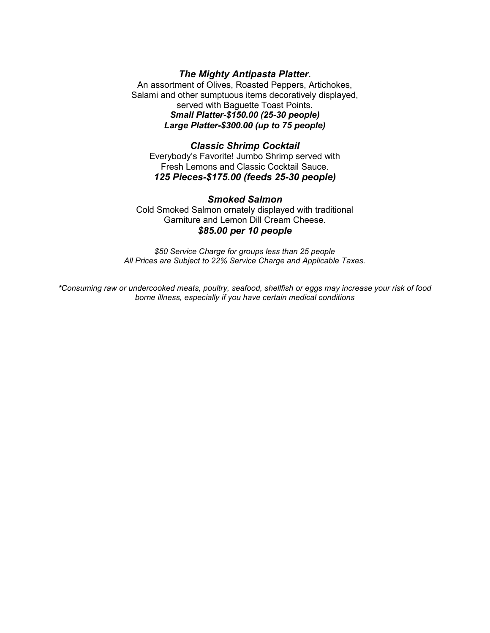### *The Mighty Antipasta Platter*. An assortment of Olives, Roasted Peppers, Artichokes, Salami and other sumptuous items decoratively displayed, served with Baguette Toast Points. *Small Platter-\$150.00 (25-30 people) Large Platter-\$300.00 (up to 75 people)*

#### *Classic Shrimp Cocktail* Everybody's Favorite! Jumbo Shrimp served with Fresh Lemons and Classic Cocktail Sauce. *125 Pieces-\$175.00 (feeds 25-30 people)*

# *Smoked Salmon* Cold Smoked Salmon ornately displayed with traditional Garniture and Lemon Dill Cream Cheese. *\$85.00 per 10 people*

*\$50 Service Charge for groups less than 25 people All Prices are Subject to 22% Service Charge and Applicable Taxes.*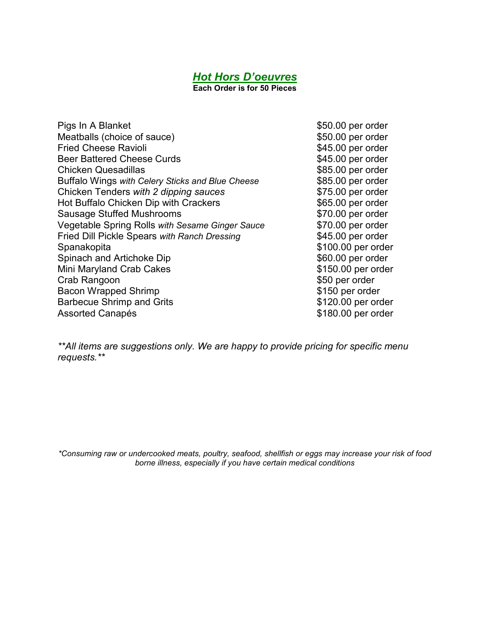# *Hot Hors D'oeuvres*

**Each Order is for 50 Pieces**

Pigs In A Blanket \$50.00 per order Meatballs (choice of sauce)  $$50.00$  per order Fried Cheese Ravioli **by Executive Cheese** Ravioli Beer Battered Cheese Curds **\$45.00 per order Chicken Quesadillas**  \$85.00 per order Buffalo Wings *with Celery Sticks and Blue Cheese* \$85.00 per order Chicken Tenders *with 2 dipping sauces* \$75.00 per order Hot Buffalo Chicken Dip with Crackers **1998 1998 \$65.00** per order Sausage Stuffed Mushrooms \$70.00 per order Vegetable Spring Rolls *with Sesame Ginger Sauce* \$70.00 per order Fried Dill Pickle Spears *with Ranch Dressing* \$45.00 per order Spanakopita  $\sim$  \$100.00 per order Spinach and Artichoke Dip  $$60.00$  per order Mini Maryland Crab Cakes **\$150.00 per order** Crab Rangoon \$50 per order Bacon Wrapped Shrimp **\$150 per order** Barbecue Shrimp and Grits **\$120.00 per order** Assorted Canapés **\$180.00 per order** 

*\*\*All items are suggestions only. We are happy to provide pricing for specific menu requests.\*\**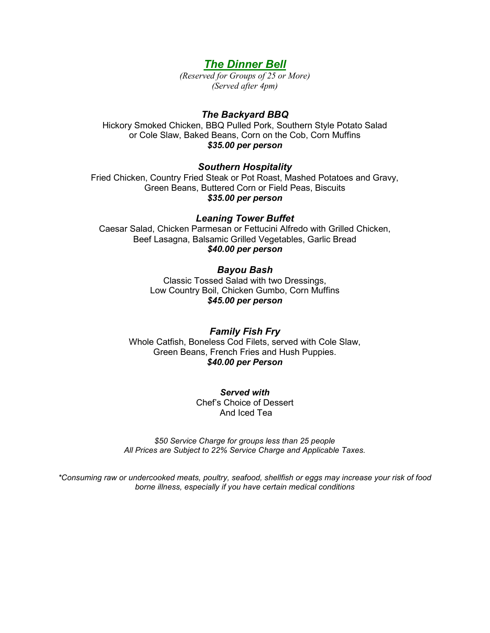# *The Dinner Bell*

*(Reserved for Groups of 25 or More) (Served after 4pm)*

### *The Backyard BBQ*

Hickory Smoked Chicken, BBQ Pulled Pork, Southern Style Potato Salad or Cole Slaw, Baked Beans, Corn on the Cob, Corn Muffins *\$35.00 per person*

#### *Southern Hospitality*

Fried Chicken, Country Fried Steak or Pot Roast, Mashed Potatoes and Gravy, Green Beans, Buttered Corn or Field Peas, Biscuits *\$35.00 per person*

#### *Leaning Tower Buffet*

Caesar Salad, Chicken Parmesan or Fettucini Alfredo with Grilled Chicken, Beef Lasagna, Balsamic Grilled Vegetables, Garlic Bread *\$40.00 per person*

#### *Bayou Bash*

Classic Tossed Salad with two Dressings, Low Country Boil, Chicken Gumbo, Corn Muffins *\$45.00 per person*

*Family Fish Fry* Whole Catfish, Boneless Cod Filets, served with Cole Slaw, Green Beans, French Fries and Hush Puppies. *\$40.00 per Person*

> *Served with* Chef's Choice of Dessert And Iced Tea

*\$50 Service Charge for groups less than 25 people All Prices are Subject to 22% Service Charge and Applicable Taxes.*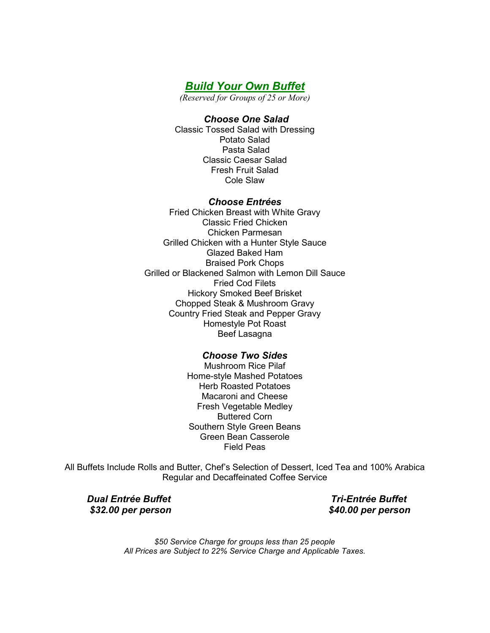*Build Your Own Buffet*

*(Reserved for Groups of 25 or More)*

#### *Choose One Salad*

Classic Tossed Salad with Dressing Potato Salad Pasta Salad Classic Caesar Salad Fresh Fruit Salad Cole Slaw

### *Choose Entrées*

Fried Chicken Breast with White Gravy Classic Fried Chicken Chicken Parmesan Grilled Chicken with a Hunter Style Sauce Glazed Baked Ham Braised Pork Chops Grilled or Blackened Salmon with Lemon Dill Sauce Fried Cod Filets Hickory Smoked Beef Brisket Chopped Steak & Mushroom Gravy Country Fried Steak and Pepper Gravy Homestyle Pot Roast Beef Lasagna

# *Choose Two Sides*

Mushroom Rice Pilaf Home-style Mashed Potatoes Herb Roasted Potatoes Macaroni and Cheese Fresh Vegetable Medley Buttered Corn Southern Style Green Beans Green Bean Casserole Field Peas

All Buffets Include Rolls and Butter, Chef's Selection of Dessert, Iced Tea and 100% Arabica Regular and Decaffeinated Coffee Service

 *\$32.00 per person \$40.00 per person*

 *Dual Entrée Buffet Tri-Entrée Buffet*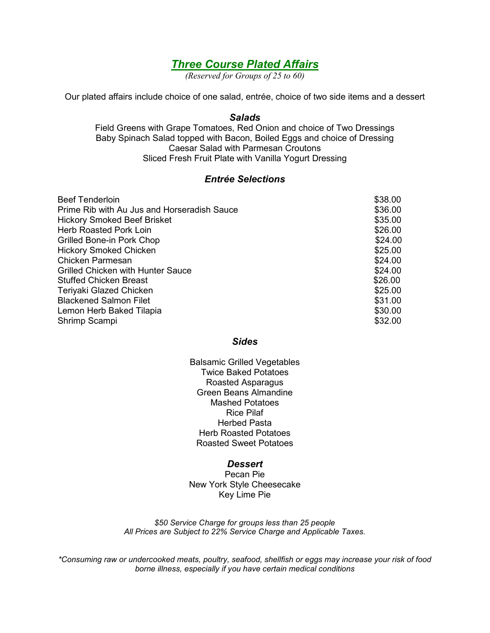# *Three Course Plated Affairs*

*(Reserved for Groups of 25 to 60)*

Our plated affairs include choice of one salad, entrée, choice of two side items and a dessert

#### *Salads*

Field Greens with Grape Tomatoes, Red Onion and choice of Two Dressings Baby Spinach Salad topped with Bacon, Boiled Eggs and choice of Dressing Caesar Salad with Parmesan Croutons Sliced Fresh Fruit Plate with Vanilla Yogurt Dressing

### *Entrée Selections*

| \$38.00 |
|---------|
| \$36.00 |
| \$35.00 |
| \$26.00 |
| \$24.00 |
| \$25.00 |
| \$24.00 |
| \$24.00 |
| \$26.00 |
| \$25.00 |
| \$31.00 |
| \$30.00 |
| \$32.00 |
|         |

#### *Sides*

Balsamic Grilled Vegetables Twice Baked Potatoes Roasted Asparagus Green Beans Almandine Mashed Potatoes Rice Pilaf Herbed Pasta Herb Roasted Potatoes Roasted Sweet Potatoes

#### *Dessert*

Pecan Pie New York Style Cheesecake Key Lime Pie

*\$50 Service Charge for groups less than 25 people All Prices are Subject to 22% Service Charge and Applicable Taxes.*